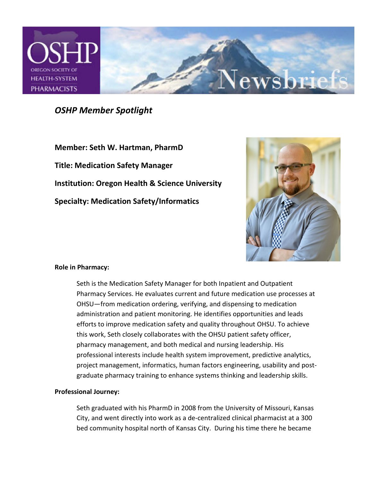

*OSHP Member Spotlight* 

**Member: Seth W. Hartman, PharmD Title: Medication Safety Manager Institution: Oregon Health & Science University Specialty: Medication Safety/Informatics** 



# **Role in Pharmacy:**

Seth is the Medication Safety Manager for both Inpatient and Outpatient Pharmacy Services. He evaluates current and future medication use processes at OHSU—from medication ordering, verifying, and dispensing to medication administration and patient monitoring. He identifies opportunities and leads efforts to improve medication safety and quality throughout OHSU. To achieve this work, Seth closely collaborates with the OHSU patient safety officer, pharmacy management, and both medical and nursing leadership. His professional interests include health system improvement, predictive analytics, project management, informatics, human factors engineering, usability and postgraduate pharmacy training to enhance systems thinking and leadership skills.

#### **Professional Journey:**

Seth graduated with his PharmD in 2008 from the University of Missouri, Kansas City, and went directly into work as a de-centralized clinical pharmacist at a 300 bed community hospital north of Kansas City. During his time there he became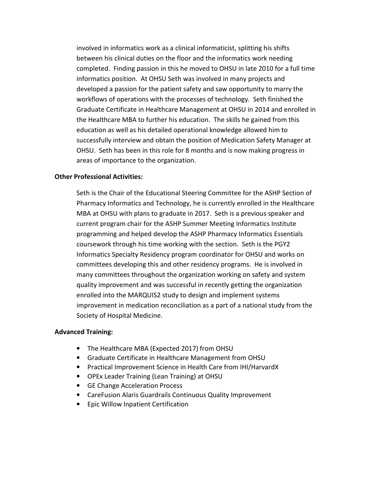involved in informatics work as a clinical informaticist, splitting his shifts between his clinical duties on the floor and the informatics work needing completed. Finding passion in this he moved to OHSU in late 2010 for a full time informatics position. At OHSU Seth was involved in many projects and developed a passion for the patient safety and saw opportunity to marry the workflows of operations with the processes of technology. Seth finished the Graduate Certificate in Healthcare Management at OHSU in 2014 and enrolled in the Healthcare MBA to further his education. The skills he gained from this education as well as his detailed operational knowledge allowed him to successfully interview and obtain the position of Medication Safety Manager at OHSU. Seth has been in this role for 8 months and is now making progress in areas of importance to the organization.

## **Other Professional Activities:**

Seth is the Chair of the Educational Steering Committee for the ASHP Section of Pharmacy Informatics and Technology, he is currently enrolled in the Healthcare MBA at OHSU with plans to graduate in 2017. Seth is a previous speaker and current program chair for the ASHP Summer Meeting Informatics Institute programming and helped develop the ASHP Pharmacy Informatics Essentials coursework through his time working with the section. Seth is the PGY2 Informatics Specialty Residency program coordinator for OHSU and works on committees developing this and other residency programs. He is involved in many committees throughout the organization working on safety and system quality improvement and was successful in recently getting the organization enrolled into the MARQUIS2 study to design and implement systems improvement in medication reconciliation as a part of a national study from the Society of Hospital Medicine.

#### **Advanced Training:**

- The Healthcare MBA (Expected 2017) from OHSU
- Graduate Certificate in Healthcare Management from OHSU
- Practical Improvement Science in Health Care from IHI/HarvardX
- OPEx Leader Training (Lean Training) at OHSU
- GE Change Acceleration Process
- CareFusion Alaris Guardrails Continuous Quality Improvement
- Epic Willow Inpatient Certification